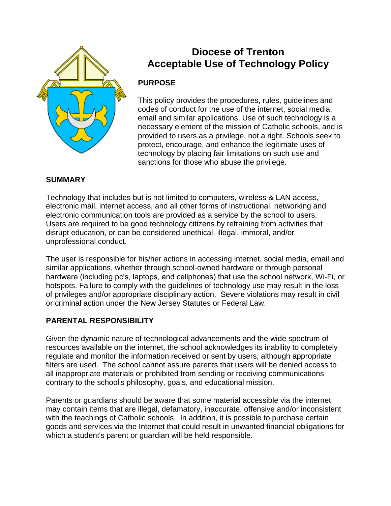

# **Diocese of Trenton Acceptable Use of Technology Policy**

# **PURPOSE**

This policy provides the procedures, rules, guidelines and codes of conduct for the use of the internet, social media, email and similar applications. Use of such technology is a necessary element of the mission of Catholic schools, and is provided to users as a privilege, not a right. Schools seek to protect, encourage, and enhance the legitimate uses of technology by placing fair limitations on such use and sanctions for those who abuse the privilege.

## **SUMMARY**

Technology that includes but is not limited to computers, wireless & LAN access, electronic mail, internet access, and all other forms of instructional, networking and electronic communication tools are provided as a service by the school to users. Users are required to be good technology citizens by refraining from activities that disrupt education, or can be considered unethical, illegal, immoral, and/or unprofessional conduct.

The user is responsible for his/her actions in accessing internet, social media, email and similar applications, whether through school-owned hardware or through personal hardware (including pc's, laptops, and cellphones) that use the school network, Wi-Fi, or hotspots. Failure to comply with the guidelines of technology use may result in the loss of privileges and/or appropriate disciplinary action. Severe violations may result in civil or criminal action under the New Jersey Statutes or Federal Law.

# **PARENTAL RESPONSIBILITY**

Given the dynamic nature of technological advancements and the wide spectrum of resources available on the internet, the school acknowledges its inability to completely regulate and monitor the information received or sent by users, although appropriate filters are used. The school cannot assure parents that users will be denied access to all inappropriate materials or prohibited from sending or receiving communications contrary to the school's philosophy, goals, and educational mission.

Parents or guardians should be aware that some material accessible via the internet may contain items that are illegal, defamatory, inaccurate, offensive and/or inconsistent with the teachings of Catholic schools. In addition, it is possible to purchase certain goods and services via the Internet that could result in unwanted financial obligations for which a student's parent or guardian will be held responsible.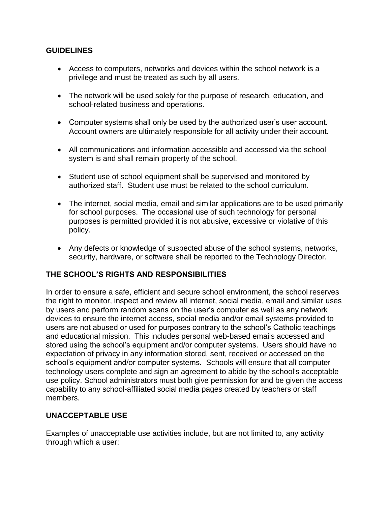#### **GUIDELINES**

- Access to computers, networks and devices within the school network is a privilege and must be treated as such by all users.
- The network will be used solely for the purpose of research, education, and school-related business and operations.
- Computer systems shall only be used by the authorized user's user account. Account owners are ultimately responsible for all activity under their account.
- All communications and information accessible and accessed via the school system is and shall remain property of the school.
- Student use of school equipment shall be supervised and monitored by authorized staff. Student use must be related to the school curriculum.
- The internet, social media, email and similar applications are to be used primarily for school purposes. The occasional use of such technology for personal purposes is permitted provided it is not abusive, excessive or violative of this policy.
- Any defects or knowledge of suspected abuse of the school systems, networks, security, hardware, or software shall be reported to the Technology Director.

## **THE SCHOOL'S RIGHTS AND RESPONSIBILITIES**

In order to ensure a safe, efficient and secure school environment, the school reserves the right to monitor, inspect and review all internet, social media, email and similar uses by users and perform random scans on the user's computer as well as any network devices to ensure the internet access, social media and/or email systems provided to users are not abused or used for purposes contrary to the school's Catholic teachings and educational mission. This includes personal web-based emails accessed and stored using the school's equipment and/or computer systems. Users should have no expectation of privacy in any information stored, sent, received or accessed on the school's equipment and/or computer systems. Schools will ensure that all computer technology users complete and sign an agreement to abide by the school's acceptable use policy. School administrators must both give permission for and be given the access capability to any school-affiliated social media pages created by teachers or staff members.

#### **UNACCEPTABLE USE**

Examples of unacceptable use activities include, but are not limited to, any activity through which a user: